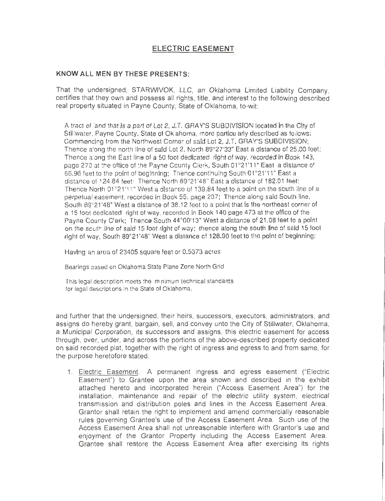## **ELECTRIC EASEMENT**

## **KNOW ALL MEN BY THESE PRESENTS:**

That the undersigned, STARWIVOK, LLC, an Oklahoma Limited Liability Company, certifies that they own and possess all rights , title, and interest to the following described real property situated in Payne County, State of Oklahoma, to-wit:

A tract of land that is a part of Lot 2, J.T, GRAY'S SUBD IV1SION localed in the Cly of Stillwater, Payne County, State of Oklahoma, more particu arly described as follows: Commencing from the Northwest Corner of said Lot 2, J.T. GRAY'S SUBDIVISION; Thence along he north line of sald Lot 2, North 89°27'33" East a distance of 25.00 feet; Thence along the East line of a 50 foot dedicated right of way, recorded in Book 143, page 270 at the office of the Payne County Clerk, South 01°21'11" East a distance of 66.96 feet to the point of beginning; Thence continuing South 01°21'11" East all distance of 124.84 feet; Thence North 89°21'48" East a distance of 182.01 feet: Thence North 01°21'11" West a distance of 139.84 feet to a point on the south line of a perpetual easement. recorded in Book 55, page 207; Thence along said South line, South 89°21 '48" West a distance of 38.12 feet to a point that ls lhe northeast corner of a 15 toot dedicated right of way, recorded In Book 140 page 473 at the office of the Payne County Clerk; Thence South 44°00'13" West a distance of 21.08 feet to a point on the south line of said 15 foot right of way; thence along the south line of said 15 foot right of way, South 89°21'48" West a distance of 128.90 feet to the point of beginning;

Having an area of 23405 square feet or 0.5373 acres

Bearings based on Oklahoma State Plane Zone North Grid

This legal description meets he minimum technical standards for legal descriptions in the State of Oklahoma.

and further that the undersigned, their heirs, successors, executors, administrators, and assigns do hereby grant, bargain, sell, and convey unto the City of Stillwater, Oklahoma, a Municipal Corporation , its successors and assigns , this electric easement for access through, over, under, and across the portions of the above-described property dedicated on said recorded plat, together with the right of ingress and egress to and from same, for the purpose heretofore stated.

1. Electric Easement. A permanent ingress and egress easement ("Electric Easement") to Grantee upon the area shown and described in the exhibit attached hereto and incorporated herein ("Access Easement Area") for the installation, maintenance and repair of the electric utility system, electrical transmission and distribution poles and lines in the Access Easement Area. Grantor shall retain the right to implement and amend commercially reasonable rules governing Grantee's use of the Access Easement Area. Such use of the Access Easement Area shall not unreasonable interfere with Grantor's use and enjoyment of the Grantor Property including the Access Easement Area. Grantee shall restore the Access Easement Area after exercising its rights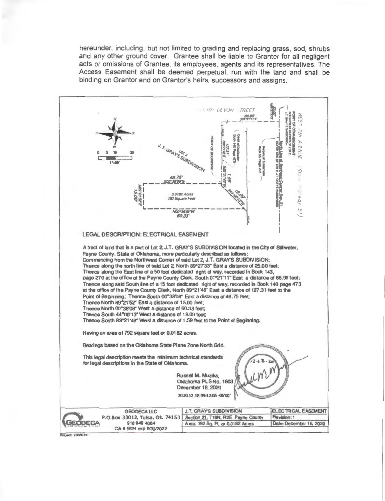hereunder, including, but not limited to grading and replacing grass, sod, shrubs and any other ground cover. Grantee shall be liable to Grantor for all negligent acts or omissions of Grantee, its employees, agents and its representatives. The Access Easement shall be deemed perpetual, run with the land and shall be binding on Grantor and on Grantor's heirs, successors and assigns.



Pro lect: 200301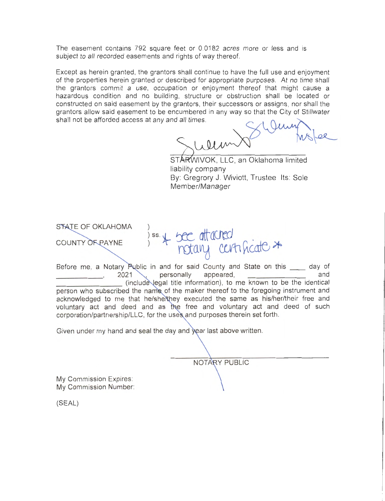The easement contains 792 square feet or 0.0182 acres more or less and is subject to all recorded easements and rights of way thereof.

Except as herein granted, the grantors shall continue to have the full use and enjoyment of the properties herein granted or described for appropriate purposes. At no time shall the grantors commit a use, occupation or enjoyment thereof that might cause a hazardous condition and no building, structure or obstruction shall be located or constructed on said easement by the grantors, their successors or assigns, nor shall the grantors allow said easement to be encumbered in any way so that the City of Stillwater shall not be afforded access at any and all times.

ARWIVOK, LLC, an Oklahoma limited liability company By: Gregrory J. Wiviott, Trustee Its: Sole Member/Manager

STATE OF OKLAHOMA ) ss. \* bee attached COUNTY OF PAYNE

Before me, a Notary Public in and for said County and State on this \_\_ day of and appeared, \_\_\_\_\_\_\_\_ (include egal title information), to me known to be the identical person who subscribed the name of the maker thereof to the foregoing instrument and acknowledged to me that he/she/they executed the same as his/her/their free and voluntary act and deed and as the free and voluntary act and deed of such corporation/partnership/LLC, for the uses and purposes therein set forth.

Given under my hand and seal the day and year last above written.

NOTARY PUBLIC

My Commission Expires: My Commission Number:

(SEAL)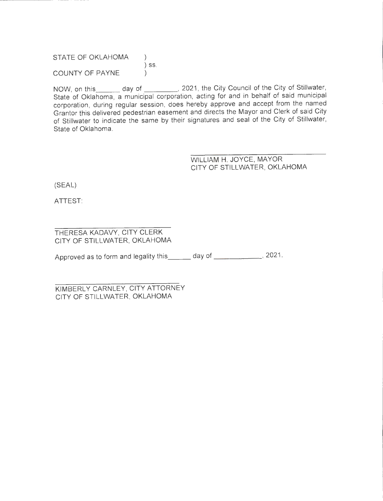STATE OF OKLAHOMA ) SS . COUNTY OF PAYNE

NOW, on this day of  $\qquad \qquad .$  2021, the City Council of the City of Stillwater, State of Oklahoma, a municipal corporation, acting for and in behalf of said municipal corporation, during regular session, does hereby approve and accept from the named Grantor this delivered pedestrian easement and directs the Mayor and Clerk of said City of Stillwater to indicate the same by their signatures and seal of the City of Stillwater, State of Oklahoma.

> WILLIAM H. JOYCE, MAYOR CITY OF STILLWATER, OKLAHOMA

(SEAL)

ATTEST:

THERESA KADAVY, CITY CLERK CITY OF STILLWATER, OKLAHOMA

Approved as to form and legality this \_\_\_ day of \_\_\_\_\_\_\_\_\_\_\_\_\_, 2021.

KIMBERLY CARNLEY, CITY ATTORNEY CITY OF STILLWATER, OKLAHOMA